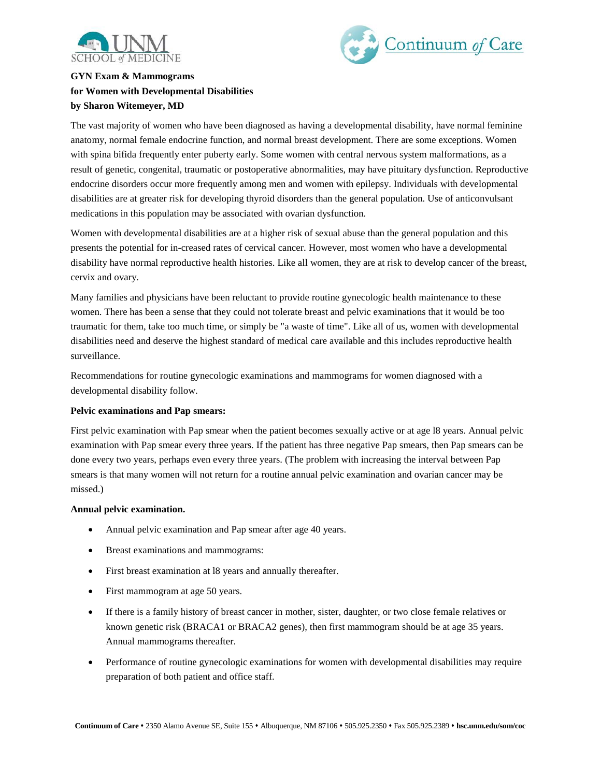



# **GYN Exam & Mammograms for Women with Developmental Disabilities by Sharon Witemeyer, MD**

The vast majority of women who have been diagnosed as having a developmental disability, have normal feminine anatomy, normal female endocrine function, and normal breast development. There are some exceptions. Women with spina bifida frequently enter puberty early. Some women with central nervous system malformations, as a result of genetic, congenital, traumatic or postoperative abnormalities, may have pituitary dysfunction. Reproductive endocrine disorders occur more frequently among men and women with epilepsy. Individuals with developmental disabilities are at greater risk for developing thyroid disorders than the general population. Use of anticonvulsant medications in this population may be associated with ovarian dysfunction.

Women with developmental disabilities are at a higher risk of sexual abuse than the general population and this presents the potential for in-creased rates of cervical cancer. However, most women who have a developmental disability have normal reproductive health histories. Like all women, they are at risk to develop cancer of the breast, cervix and ovary.

Many families and physicians have been reluctant to provide routine gynecologic health maintenance to these women. There has been a sense that they could not tolerate breast and pelvic examinations that it would be too traumatic for them, take too much time, or simply be "a waste of time". Like all of us, women with developmental disabilities need and deserve the highest standard of medical care available and this includes reproductive health surveillance.

Recommendations for routine gynecologic examinations and mammograms for women diagnosed with a developmental disability follow.

## **Pelvic examinations and Pap smears:**

First pelvic examination with Pap smear when the patient becomes sexually active or at age l8 years. Annual pelvic examination with Pap smear every three years. If the patient has three negative Pap smears, then Pap smears can be done every two years, perhaps even every three years. (The problem with increasing the interval between Pap smears is that many women will not return for a routine annual pelvic examination and ovarian cancer may be missed.)

#### **Annual pelvic examination.**

- Annual pelvic examination and Pap smear after age 40 years.
- Breast examinations and mammograms:
- First breast examination at l8 years and annually thereafter.
- First mammogram at age 50 years.
- If there is a family history of breast cancer in mother, sister, daughter, or two close female relatives or known genetic risk (BRACA1 or BRACA2 genes), then first mammogram should be at age 35 years. Annual mammograms thereafter.
- Performance of routine gynecologic examinations for women with developmental disabilities may require preparation of both patient and office staff.